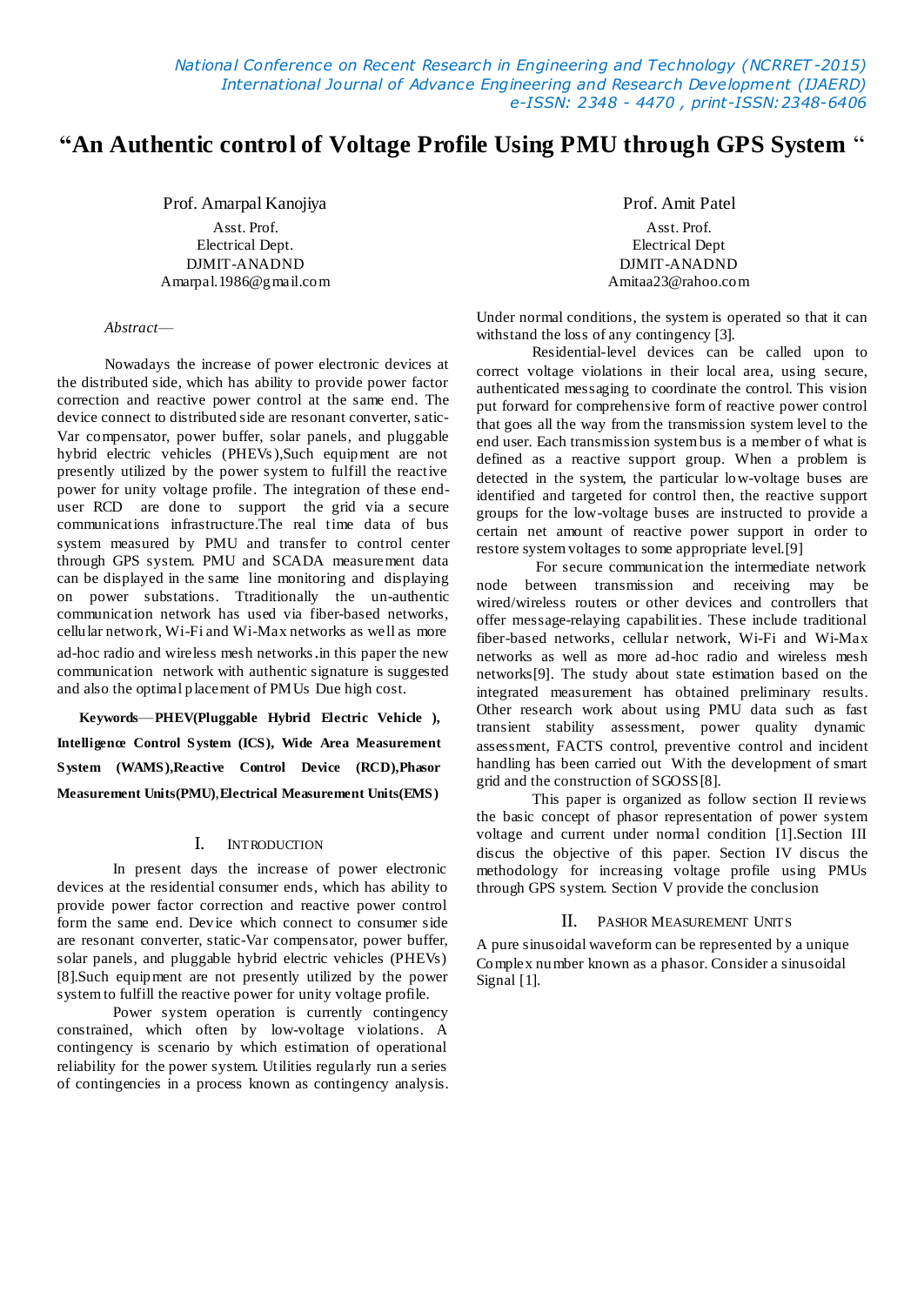*National Conference on Recent Research in Engineering and Technology (NCRRET -2015) International Journal of Advance Engineering and Research Development (IJAERD) e-ISSN: 2348 - 4470 , print-ISSN:2348-6406*

# **"An Authentic control of Voltage Profile Using PMU through GPS System** ―

Prof. Amarpal Kanojiya

Asst. Prof. Electrical Dept. DJMIT-ANADND Amarpal.1986@gmail.com

*Abstract*—

Nowadays the increase of power electronic devices at the distributed side, which has ability to provide power factor correction and reactive power control at the same end. The device connect to distributed side are resonant converter, satic-Var compensator, power buffer, solar panels, and pluggable hybrid electric vehicles (PHEVs ),Such equipment are not presently utilized by the power system to fulfill the reactive power for unity voltage profile. The integration of these enduser RCD are done to support the grid via a secure communications infrastructure.The real time data of bus system measured by PMU and transfer to control center through GPS system. PMU and SCADA measurement data can be displayed in the same line monitoring and displaying on power substations. Ttraditionally the un-authentic communication network has used via fiber-based networks, cellular network, Wi-Fi and Wi-Max networks as well as more ad-hoc radio and wireless mesh networks.in this paper the new communication network with authentic signature is suggested and also the optimal placement of PMUs Due high cost.

**Keywords**—**PHEV(Pluggable Hybrid Electric Vehicle ), Intelligence Control System (ICS), Wide Area Measurement System (WAMS),Reactive Control Device (RCD),Phasor Measurement Units(PMU)**,**Electrical Measurement Units(EMS)**

# I. INTRODUCTION

In present days the increase of power electronic devices at the residential consumer ends, which has ability to provide power factor correction and reactive power control form the same end. Device which connect to consumer side are resonant converter, static-Var compensator, power buffer, solar panels, and pluggable hybrid electric vehicles (PHEVs) [8].Such equipment are not presently utilized by the power system to fulfill the reactive power for unity voltage profile.

Power system operation is currently contingency constrained, which often by low-voltage violations. A contingency is scenario by which estimation of operational reliability for the power system. Utilities regularly run a series of contingencies in a process known as contingency analysis. Prof. Amit Patel

Asst. Prof. Electrical Dept DJMIT-ANADND Amitaa23@rahoo.com

Under normal conditions, the system is operated so that it can withstand the loss of any contingency [3].

Residential-level devices can be called upon to correct voltage violations in their local area, using secure, authenticated messaging to coordinate the control. This vision put forward for comprehensive form of reactive power control that goes all the way from the transmission system level to the end user. Each transmission system bus is a member of what is defined as a reactive support group. When a problem is detected in the system, the particular low-voltage buses are identified and targeted for control then, the reactive support groups for the low-voltage buses are instructed to provide a certain net amount of reactive power support in order to restore system voltages to some appropriate level.[9]

For secure communication the intermediate network node between transmission and receiving may be wired/wireless routers or other devices and controllers that offer message-relaying capabilities. These include traditional fiber-based networks, cellular network, Wi-Fi and Wi-Max networks as well as more ad-hoc radio and wireless mesh networks[9]. The study about state estimation based on the integrated measurement has obtained preliminary results. Other research work about using PMU data such as fast transient stability assessment, power quality dynamic assessment, FACTS control, preventive control and incident handling has been carried out With the development of smart grid and the construction of SGOSS[8].

This paper is organized as follow section II reviews the basic concept of phasor representation of power system voltage and current under normal condition [1].Section III discus the objective of this paper. Section IV discus the methodology for increasing voltage profile using PMUs through GPS system. Section V provide the conclusion

#### II. PASHOR MEASUREMENT UNITS

A pure sinusoidal waveform can be represented by a unique Complex number known as a phasor. Consider a sinusoidal Signal [1].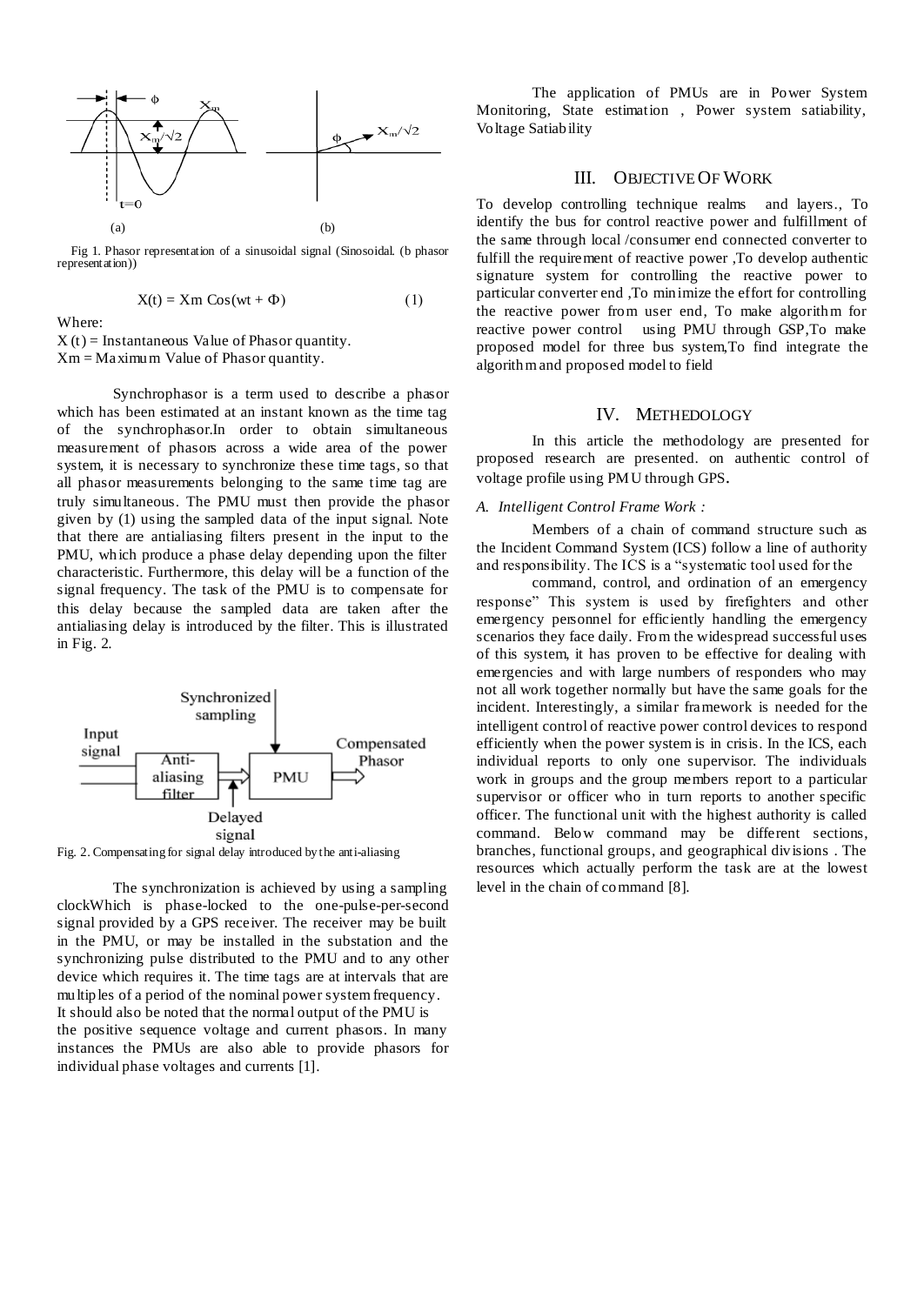

 Fig 1. Phasor representation of a sinusoidal signal (Sinosoidal. (b phasor representation))

$$
X(t) = Xm \cos(wt + \Phi)
$$
 (1)

Where:

 $X(t)$  = Instantaneous Value of Phasor quantity. Xm = Maximum Value of Phasor quantity.

Synchrophasor is a term used to describe a phasor which has been estimated at an instant known as the time tag of the synchrophasor.In order to obtain simultaneous measurement of phasors across a wide area of the power system, it is necessary to synchronize these time tags, so that all phasor measurements belonging to the same time tag are truly simultaneous. The PMU must then provide the phasor given by (1) using the sampled data of the input signal. Note that there are antialiasing filters present in the input to the PMU, which produce a phase delay depending upon the filter characteristic. Furthermore, this delay will be a function of the signal frequency. The task of the PMU is to compensate for this delay because the sampled data are taken after the antialiasing delay is introduced by the filter. This is illustrated in Fig. 2.



Fig. 2. Compensating for signal delay introduced by the anti-aliasing

The synchronization is achieved by using a sampling clockWhich is phase-locked to the one-pulse-per-second signal provided by a GPS receiver. The receiver may be built in the PMU, or may be installed in the substation and the synchronizing pulse distributed to the PMU and to any other device which requires it. The time tags are at intervals that are multiples of a period of the nominal power system frequency. It should also be noted that the normal output of the PMU is the positive sequence voltage and current phasors. In many instances the PMUs are also able to provide phasors for individual phase voltages and currents [1].

The application of PMUs are in Power System Monitoring, State estimation , Power system satiability, Voltage Satiability

## III. OBJECTIVE OF WORK

To develop controlling technique realms and layers., To identify the bus for control reactive power and fulfillment of the same through local /consumer end connected converter to fulfill the requirement of reactive power ,To develop authentic signature system for controlling the reactive power to particular converter end ,To minimize the effort for controlling the reactive power from user end, To make algorithm for reactive power control using PMU through GSP,To make proposed model for three bus system,To find integrate the algorithm and proposed model to field

#### IV. METHEDOLOGY

In this article the methodology are presented for proposed research are presented. on authentic control of voltage profile using PMU through GPS.

#### *A. Intelligent Control Frame Work :*

Members of a chain of command structure such as the Incident Command System (ICS) follow a line of authority and responsibility. The ICS is a "systematic tool used for the

command, control, and ordination of an emergency response" This system is used by firefighters and other emergency personnel for efficiently handling the emergency scenarios they face daily. From the widespread successful uses of this system, it has proven to be effective for dealing with emergencies and with large numbers of responders who may not all work together normally but have the same goals for the incident. Interestingly, a similar framework is needed for the intelligent control of reactive power control devices to respond efficiently when the power system is in crisis. In the ICS, each individual reports to only one supervisor. The individuals work in groups and the group members report to a particular supervisor or officer who in turn reports to another specific officer. The functional unit with the highest authority is called command. Below command may be different sections, branches, functional groups, and geographical divisions . The resources which actually perform the task are at the lowest level in the chain of command [8].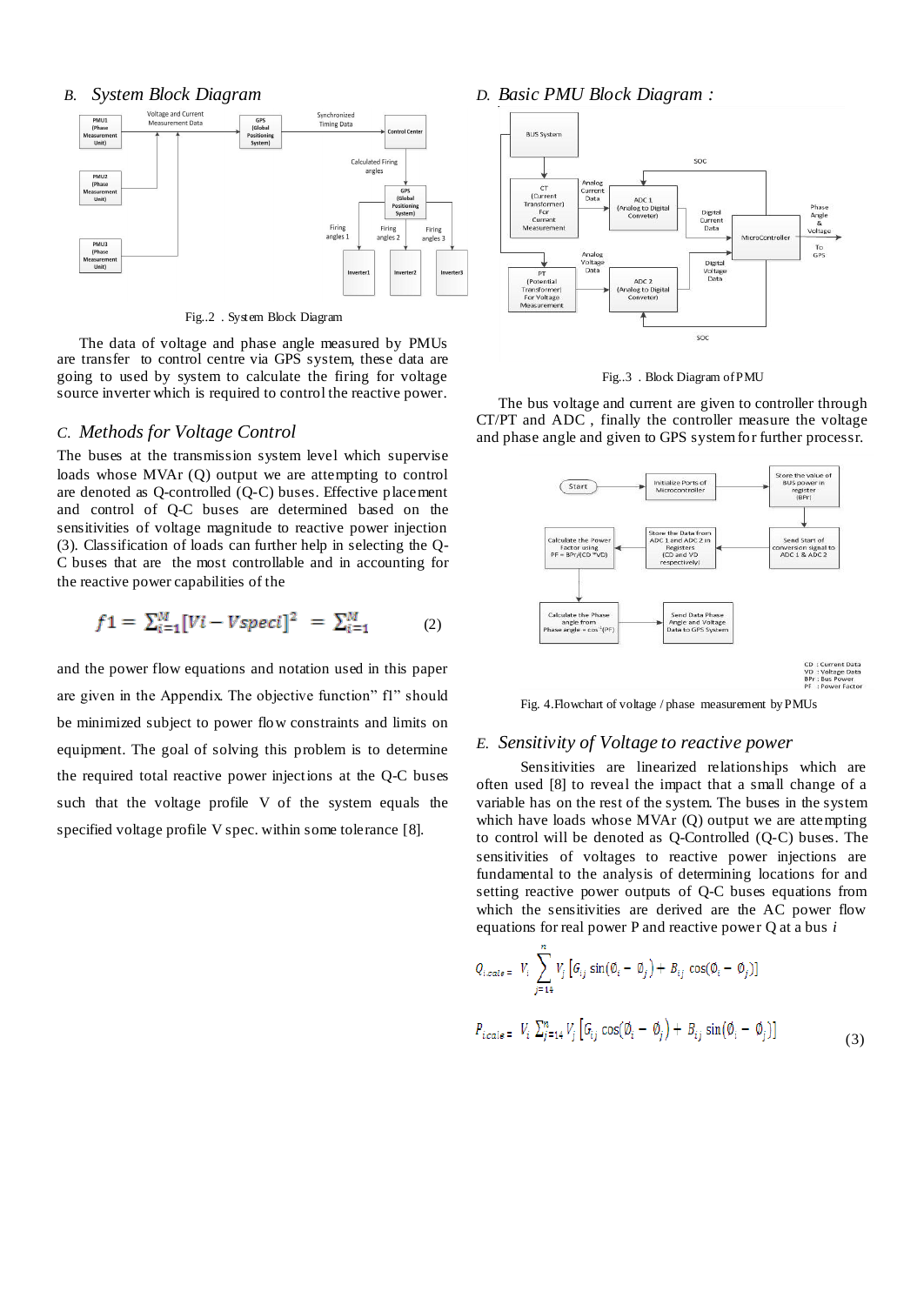#### *B. System Block Diagram*



Fig..2 . System Block Diagram

The data of voltage and phase angle measured by PMUs are transfer to control centre via GPS system, these data are going to used by system to calculate the firing for voltage source inverter which is required to control the reactive power.

## *C. Methods for Voltage Control*

The buses at the transmission system level which supervise loads whose MVAr (Q) output we are attempting to control are denoted as Q-controlled (Q-C) buses. Effective placement and control of Q-C buses are determined based on the sensitivities of voltage magnitude to reactive power injection (3). Classification of loads can further help in selecting the Q-C buses that are the most controllable and in accounting for the reactive power capabilities of the

$$
f1 = \sum_{i=1}^{M} [Vi - Vspeci]^2 = \sum_{i=1}^{M} (2)
$$

and the power flow equations and notation used in this paper are given in the Appendix. The objective function" fl" should be minimized subject to power flow constraints and limits on equipment. The goal of solving this problem is to determine the required total reactive power injections at the Q-C buses such that the voltage profile V of the system equals the specified voltage profile V spec. within some tolerance [8].

*D. Basic PMU Block Diagram :*





The bus voltage and current are given to controller through CT/PT and ADC , finally the controller measure the voltage and phase angle and given to GPS system for further processr.



Fig. 4.Flowchart of voltage / phase measurement by PMUs

#### *E. Sensitivity of Voltage to reactive power*

Sensitivities are linearized relationships which are often used [8] to reveal the impact that a small change of a variable has on the rest of the system. The buses in the system which have loads whose MVAr (Q) output we are attempting to control will be denoted as Q-Controlled (Q-C) buses. The sensitivities of voltages to reactive power injections are fundamental to the analysis of determining locations for and setting reactive power outputs of Q-C buses equations from which the sensitivities are derived are the AC power flow equations for real power P and reactive power Q at a bus *i* 

$$
Q_{i,calc} = V_i \sum_{j=14}^{n} V_j \left[ G_{ij} \sin(\emptyset_i - \emptyset_j) + B_{ij} \cos(\emptyset_i - \emptyset_j) \right]
$$
  

$$
P_{i,calc} = V_i \sum_{j=14}^{n} V_j \left[ G_{ij} \cos(\emptyset_i - \emptyset_j) + B_{ij} \sin(\emptyset_i - \emptyset_j) \right]
$$
 (3)